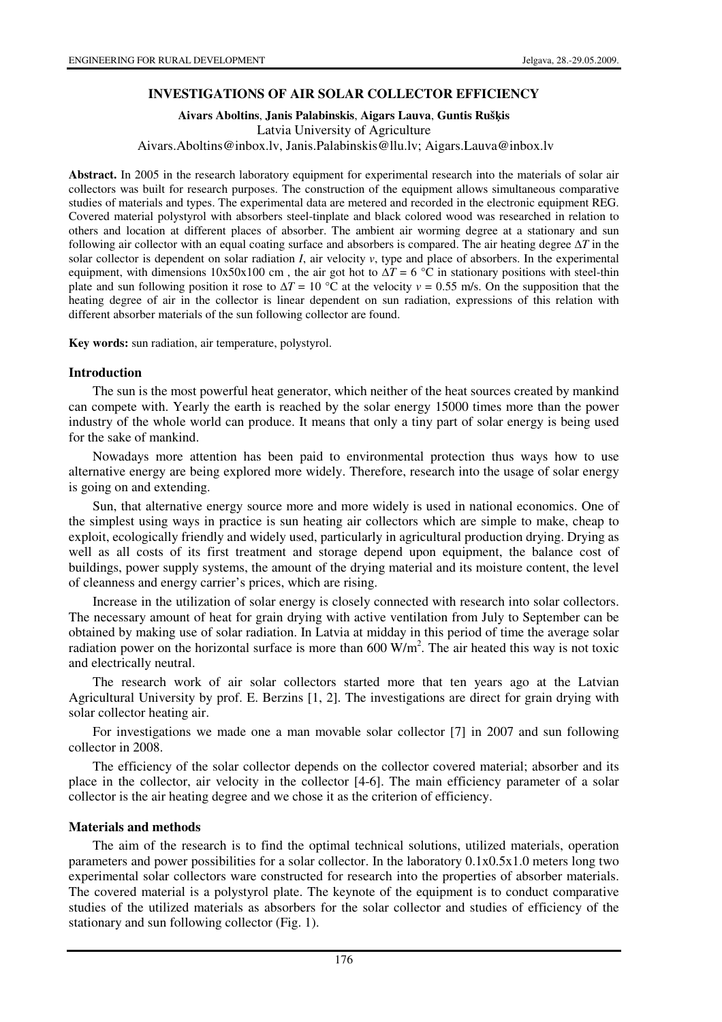## **INVESTIGATIONS OF AIR SOLAR COLLECTOR EFFICIENCY**

**Aivars Aboltins**, **Janis Palabinskis**, **Aigars Lauva**, **Guntis Ruš**ķ**is**  Latvia University of Agriculture Aivars.Aboltins@inbox.lv, Janis.Palabinskis@llu.lv; Aigars.Lauva@inbox.lv

**Abstract.** In 2005 in the research laboratory equipment for experimental research into the materials of solar air collectors was built for research purposes. The construction of the equipment allows simultaneous comparative studies of materials and types. The experimental data are metered and recorded in the electronic equipment REG. Covered material polystyrol with absorbers steel-tinplate and black colored wood was researched in relation to others and location at different places of absorber. The ambient air worming degree at a stationary and sun following air collector with an equal coating surface and absorbers is compared. The air heating degree  $\Delta T$  in the solar collector is dependent on solar radiation *I*, air velocity *v*, type and place of absorbers. In the experimental equipment, with dimensions  $10x50x100$  cm, the air got hot to  $\Delta T = 6$  °C in stationary positions with steel-thin plate and sun following position it rose to  $\Delta T = 10^{\circ}$ C at the velocity  $v = 0.55$  m/s. On the supposition that the heating degree of air in the collector is linear dependent on sun radiation, expressions of this relation with different absorber materials of the sun following collector are found.

**Key words:** sun radiation, air temperature, polystyrol.

#### **Introduction**

The sun is the most powerful heat generator, which neither of the heat sources created by mankind can compete with. Yearly the earth is reached by the solar energy 15000 times more than the power industry of the whole world can produce. It means that only a tiny part of solar energy is being used for the sake of mankind.

Nowadays more attention has been paid to environmental protection thus ways how to use alternative energy are being explored more widely. Therefore, research into the usage of solar energy is going on and extending.

Sun, that alternative energy source more and more widely is used in national economics. One of the simplest using ways in practice is sun heating air collectors which are simple to make, cheap to exploit, ecologically friendly and widely used, particularly in agricultural production drying. Drying as well as all costs of its first treatment and storage depend upon equipment, the balance cost of buildings, power supply systems, the amount of the drying material and its moisture content, the level of cleanness and energy carrier's prices, which are rising.

Increase in the utilization of solar energy is closely connected with research into solar collectors. The necessary amount of heat for grain drying with active ventilation from July to September can be obtained by making use of solar radiation. In Latvia at midday in this period of time the average solar radiation power on the horizontal surface is more than  $600 \text{ W/m}^2$ . The air heated this way is not toxic and electrically neutral.

The research work of air solar collectors started more that ten years ago at the Latvian Agricultural University by prof. E. Berzins [1, 2]. The investigations are direct for grain drying with solar collector heating air.

For investigations we made one a man movable solar collector [7] in 2007 and sun following collector in 2008.

The efficiency of the solar collector depends on the collector covered material; absorber and its place in the collector, air velocity in the collector [4-6]. The main efficiency parameter of a solar collector is the air heating degree and we chose it as the criterion of efficiency.

### **Materials and methods**

The aim of the research is to find the optimal technical solutions, utilized materials, operation parameters and power possibilities for a solar collector. In the laboratory 0.1x0.5x1.0 meters long two experimental solar collectors ware constructed for research into the properties of absorber materials. The covered material is a polystyrol plate. The keynote of the equipment is to conduct comparative studies of the utilized materials as absorbers for the solar collector and studies of efficiency of the stationary and sun following collector (Fig. 1).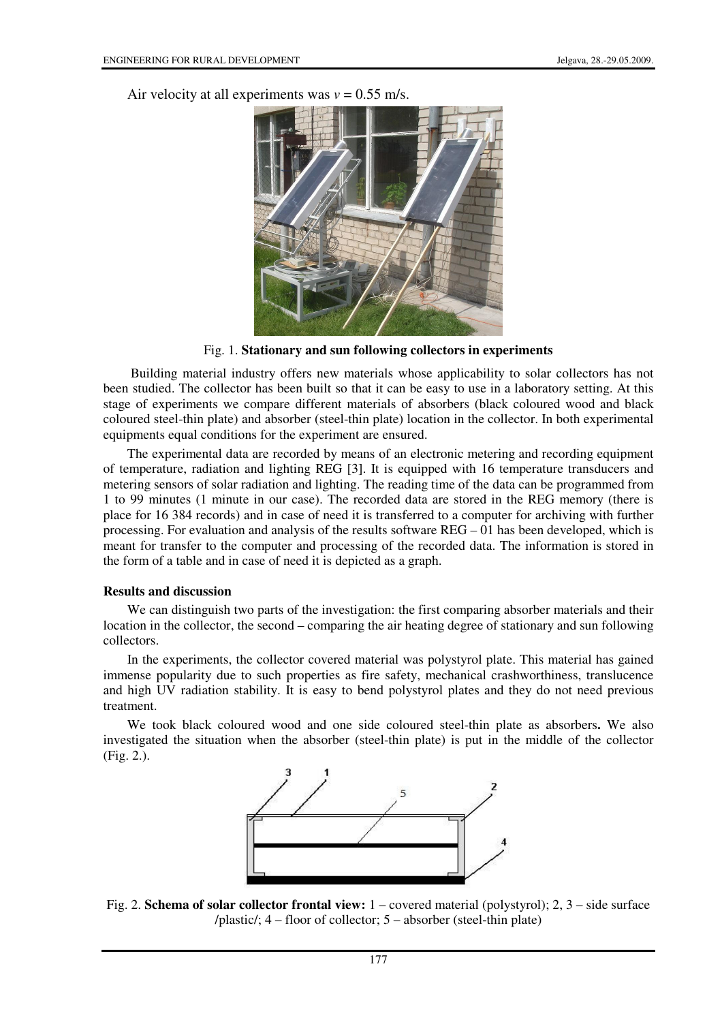Air velocity at all experiments was  $v = 0.55$  m/s.



Fig. 1. **Stationary and sun following collectors in experiments**

 Building material industry offers new materials whose applicability to solar collectors has not been studied. The collector has been built so that it can be easy to use in a laboratory setting. At this stage of experiments we compare different materials of absorbers (black coloured wood and black coloured steel-thin plate) and absorber (steel-thin plate) location in the collector. In both experimental equipments equal conditions for the experiment are ensured.

The experimental data are recorded by means of an electronic metering and recording equipment of temperature, radiation and lighting REG [3]. It is equipped with 16 temperature transducers and metering sensors of solar radiation and lighting. The reading time of the data can be programmed from 1 to 99 minutes (1 minute in our case). The recorded data are stored in the REG memory (there is place for 16 384 records) and in case of need it is transferred to a computer for archiving with further processing. For evaluation and analysis of the results software REG – 01 has been developed, which is meant for transfer to the computer and processing of the recorded data. The information is stored in the form of a table and in case of need it is depicted as a graph.

### **Results and discussion**

We can distinguish two parts of the investigation: the first comparing absorber materials and their location in the collector, the second – comparing the air heating degree of stationary and sun following collectors.

In the experiments, the collector covered material was polystyrol plate. This material has gained immense popularity due to such properties as fire safety, mechanical crashworthiness, translucence and high UV radiation stability. It is easy to bend polystyrol plates and they do not need previous treatment.

We took black coloured wood and one side coloured steel-thin plate as absorbers**.** We also investigated the situation when the absorber (steel-thin plate) is put in the middle of the collector (Fig. 2.).



Fig. 2. **Schema of solar collector frontal view:** 1 – covered material (polystyrol); 2, 3 – side surface /plastic/; 4 – floor of collector; 5 – absorber (steel-thin plate)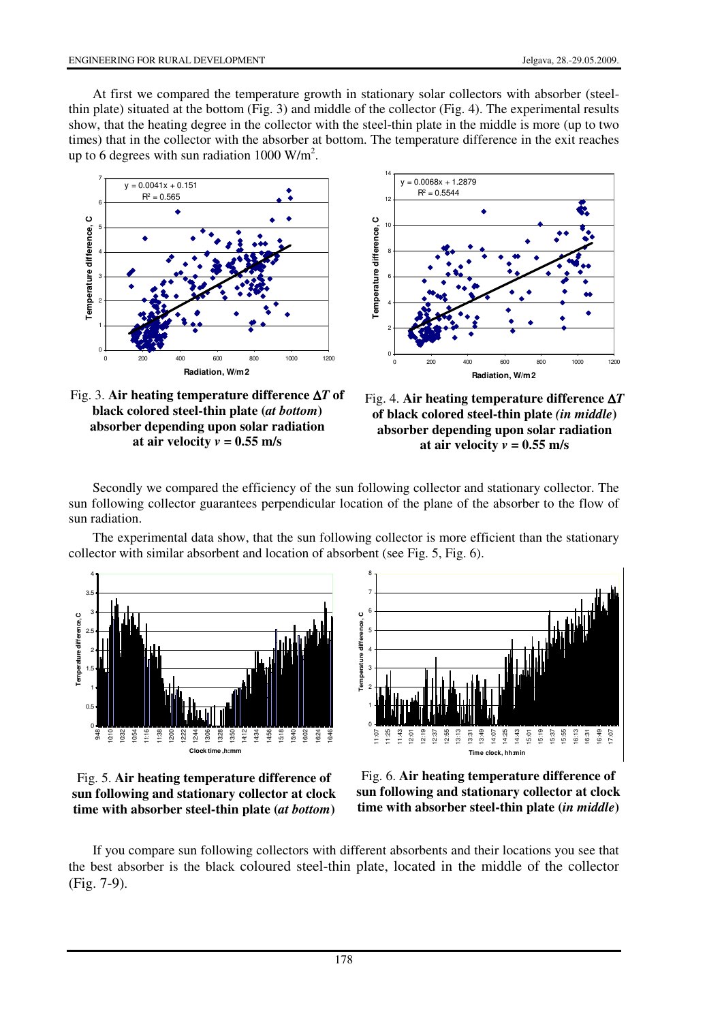At first we compared the temperature growth in stationary solar collectors with absorber (steelthin plate) situated at the bottom (Fig. 3) and middle of the collector (Fig. 4). The experimental results show, that the heating degree in the collector with the steel-thin plate in the middle is more (up to two times) that in the collector with the absorber at bottom. The temperature difference in the exit reaches up to 6 degrees with sun radiation  $1000 \text{ W/m}^2$ .





Fig. 3. **Air heating temperature difference** ∆*T* **of black colored steel-thin plate (***at bottom***) absorber depending upon solar radiation**  at air velocity  $v = 0.55$  m/s



Secondly we compared the efficiency of the sun following collector and stationary collector. The sun following collector guarantees perpendicular location of the plane of the absorber to the flow of sun radiation.

The experimental data show, that the sun following collector is more efficient than the stationary collector with similar absorbent and location of absorbent (see Fig. 5, Fig. 6).





Fig. 5. **Air heating temperature difference of sun following and stationary collector at clock time with absorber steel-thin plate (***at bottom***)**

Fig. 6. **Air heating temperature difference of sun following and stationary collector at clock time with absorber steel-thin plate (***in middle***)**

If you compare sun following collectors with different absorbents and their locations you see that the best absorber is the black coloured steel-thin plate, located in the middle of the collector (Fig. 7-9).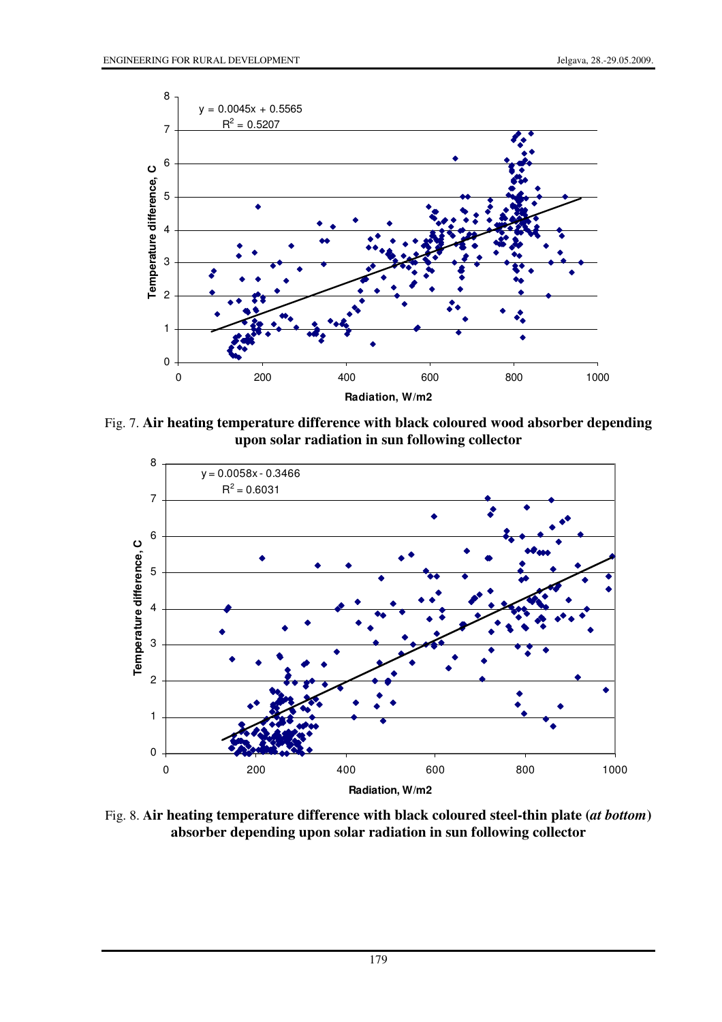

Fig. 7. **Air heating temperature difference with black coloured wood absorber depending upon solar radiation in sun following collector**



Fig. 8. **Air heating temperature difference with black coloured steel-thin plate (***at bottom***) absorber depending upon solar radiation in sun following collector**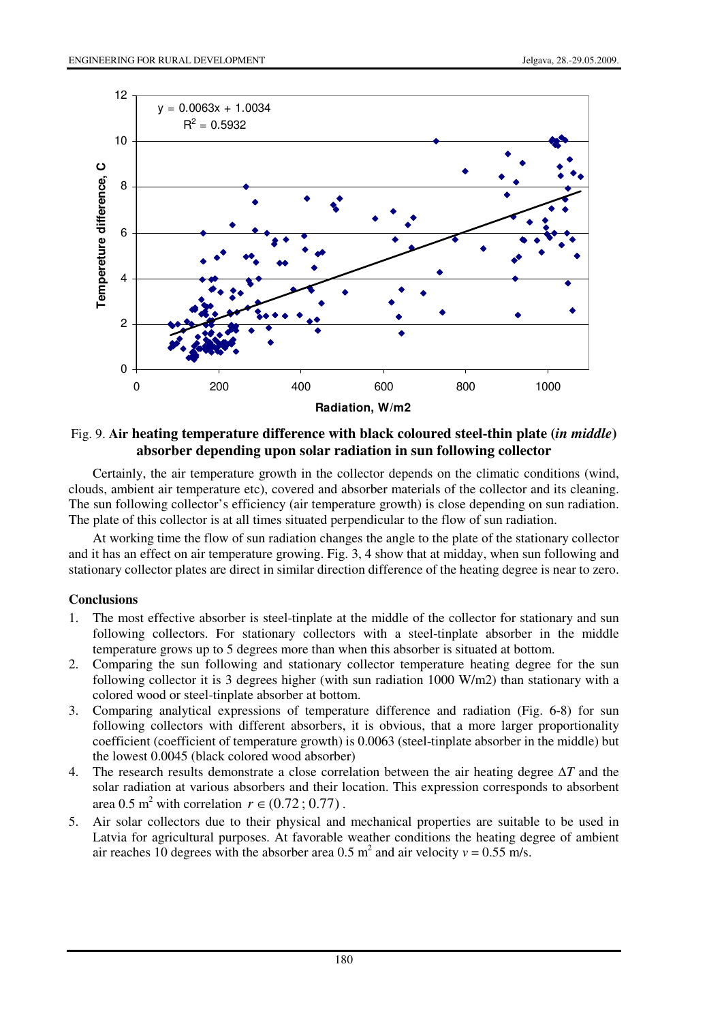

## Fig. 9. **Air heating temperature difference with black coloured steel-thin plate (***in middle***) absorber depending upon solar radiation in sun following collector**

Certainly, the air temperature growth in the collector depends on the climatic conditions (wind, clouds, ambient air temperature etc), covered and absorber materials of the collector and its cleaning. The sun following collector's efficiency (air temperature growth) is close depending on sun radiation. The plate of this collector is at all times situated perpendicular to the flow of sun radiation.

At working time the flow of sun radiation changes the angle to the plate of the stationary collector and it has an effect on air temperature growing. Fig. 3, 4 show that at midday, when sun following and stationary collector plates are direct in similar direction difference of the heating degree is near to zero.

### **Conclusions**

- 1. The most effective absorber is steel-tinplate at the middle of the collector for stationary and sun following collectors. For stationary collectors with a steel-tinplate absorber in the middle temperature grows up to 5 degrees more than when this absorber is situated at bottom.
- 2. Comparing the sun following and stationary collector temperature heating degree for the sun following collector it is 3 degrees higher (with sun radiation 1000 W/m2) than stationary with a colored wood or steel-tinplate absorber at bottom.
- 3. Comparing analytical expressions of temperature difference and radiation (Fig. 6-8) for sun following collectors with different absorbers, it is obvious, that a more larger proportionality coefficient (coefficient of temperature growth) is 0.0063 (steel-tinplate absorber in the middle) but the lowest 0.0045 (black colored wood absorber)
- 4. The research results demonstrate a close correlation between the air heating degree  $\Delta T$  and the solar radiation at various absorbers and their location. This expression corresponds to absorbent area 0.5 m<sup>2</sup> with correlation  $r \in (0.72; 0.77)$ .
- 5. Air solar collectors due to their physical and mechanical properties are suitable to be used in Latvia for agricultural purposes. At favorable weather conditions the heating degree of ambient air reaches 10 degrees with the absorber area 0.5  $m^2$  and air velocity  $v = 0.55$  m/s.